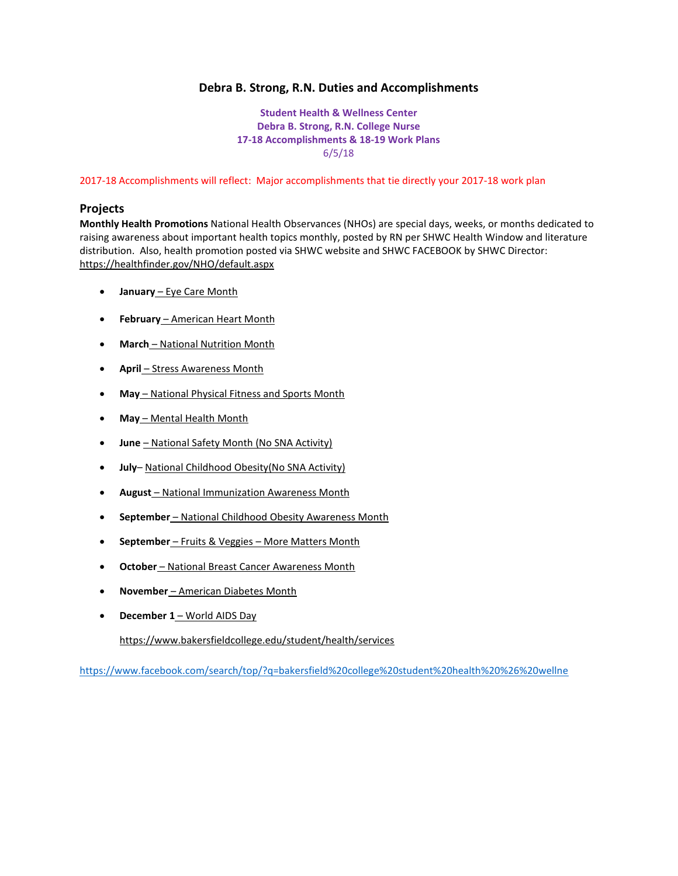## **Debra B. Strong, R.N. Duties and Accomplishments**

**Student Health & Wellness Center Debra B. Strong, R.N. College Nurse 17-18 Accomplishments & 18-19 Work Plans** 6/5/18

2017-18 Accomplishments will reflect: Major accomplishments that tie directly your 2017-18 work plan

#### **Projects**

**Monthly Health Promotions** National Health Observances (NHOs) are special days, weeks, or months dedicated to raising awareness about important health topics monthly, posted by RN per SHWC Health Window and literature distribution. Also, health promotion posted via SHWC website and SHWC FACEBOOK by SHWC Director: <https://healthfinder.gov/NHO/default.aspx>

- **January** [Eye Care Month](https://healthfinder.gov/NHO/JanuaryToolkit.aspx)
- **February** [American Heart Month](https://healthfinder.gov/NHO/FebruaryToolkit2.aspx)
- **March** [National Nutrition Month](https://healthfinder.gov/NHO/MarchToolkit.aspx)
- **April** [Stress Awareness Month](https://healthfinder.gov/NHO/AprilToolkit.aspx)
- **May** [National Physical Fitness and Sports Month](https://healthfinder.gov/NHO/MayToolkit.aspx)
- **May** [Mental Health Month](https://healthfinder.gov/NHO/MayToolkit2.aspx)
- **June** National Safety Month (No SNA Activity)
- **July** National Childhood Obesity(No SNA Activity)
- **August** [National Immunization Awareness Month](https://healthfinder.gov/NHO/AugustToolkit.aspx)
- **September** [National Childhood Obesity Awareness Month](https://healthfinder.gov/NHO/SeptemberToolkit.aspx)
- **September** Fruits & Veggies [More Matters Month](https://healthfinder.gov/NHO/SeptemberToolkit2.aspx)
- **October** [National Breast Cancer Awareness Month](https://healthfinder.gov/NHO/OctoberToolkit.aspx)
- **November** [American Diabetes Month](https://healthfinder.gov/NHO/NovemberToolkit.aspx)
- **December 1** [World AIDS Day](https://healthfinder.gov/NHO/DecemberToolkit.aspx)

<https://www.bakersfieldcollege.edu/student/health/services>

<https://www.facebook.com/search/top/?q=bakersfield%20college%20student%20health%20%26%20wellne>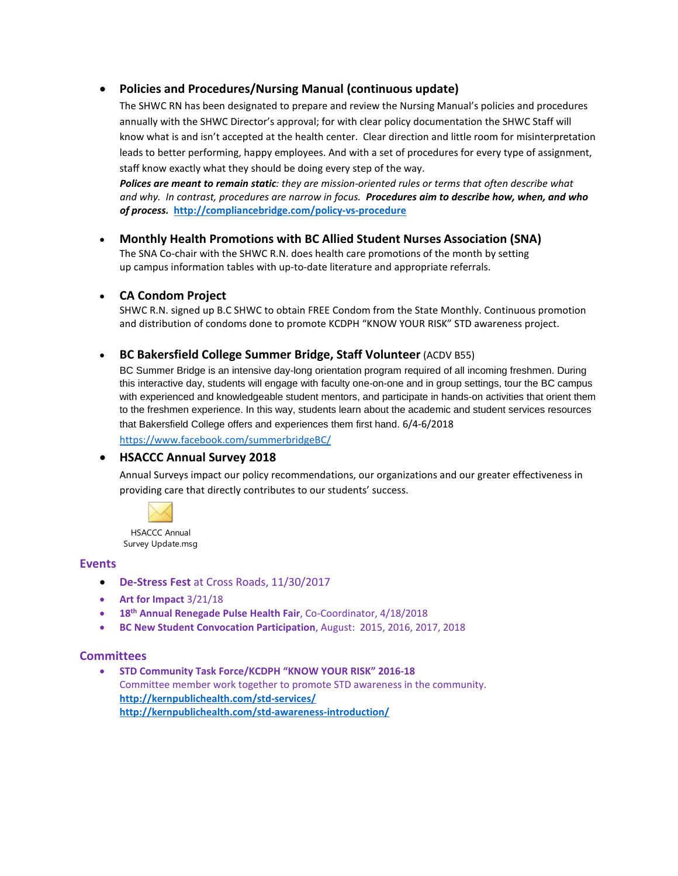# • **Policies and Procedures/Nursing Manual (continuous update)**

The SHWC RN has been designated to prepare and review the Nursing Manual's policies and procedures annually with the SHWC Director's approval; for with clear policy documentation the SHWC Staff will know what is and isn't accepted at the health center. Clear direction and little room for misinterpretation leads to better performing, happy employees. And with a set of procedures for every type of assignment, staff know exactly what they should be doing every step of the way.

*Polices are meant to remain static: they are mission-oriented rules or terms that often describe what and why. In contrast, procedures are narrow in focus. Procedures aim to describe how, when, and who of process.* **<http://compliancebridge.com/policy-vs-procedure>**

### • **Monthly Health Promotions with BC Allied Student Nurses Association (SNA)**

The SNA Co-chair with the SHWC R.N. does health care promotions of the month by setting up campus information tables with up-to-date literature and appropriate referrals.

### • **CA Condom Project**

SHWC R.N. signed up B.C SHWC to obtain FREE Condom from the State Monthly. Continuous promotion and distribution of condoms done to promote KCDPH "KNOW YOUR RISK" STD awareness project.

## • **BC Bakersfield College Summer Bridge, Staff Volunteer** (ACDV B55)

BC Summer Bridge is an intensive day-long orientation program required of all incoming freshmen. During this interactive day, students will engage with faculty one-on-one and in group settings, tour the BC campus with experienced and knowledgeable student mentors, and participate in hands-on activities that orient them to the freshmen experience. In this way, students learn about the academic and student services resources that Bakersfield College offers and experiences them first hand. 6/4-6/2018

<https://www.facebook.com/summerbridgeBC/>

#### • **HSACCC Annual Survey 2018**

Annual Surveys impact our policy recommendations, our organizations and our greater effectiveness in providing care that directly contributes to our students' success.



#### **Events**

- **De-Stress Fest** at Cross Roads, 11/30/2017
- **Art for Impact** 3/21/18
- **18th Annual Renegade Pulse Health Fair**, Co-Coordinator, 4/18/2018
- **BC New Student Convocation Participation**, August: 2015, 2016, 2017, 2018

#### **Committees**

• **STD Community Task Force/KCDPH "KNOW YOUR RISK" 2016-18** Committee member work together to promote STD awareness in the community. **<http://kernpublichealth.com/std-services/> <http://kernpublichealth.com/std-awareness-introduction/>**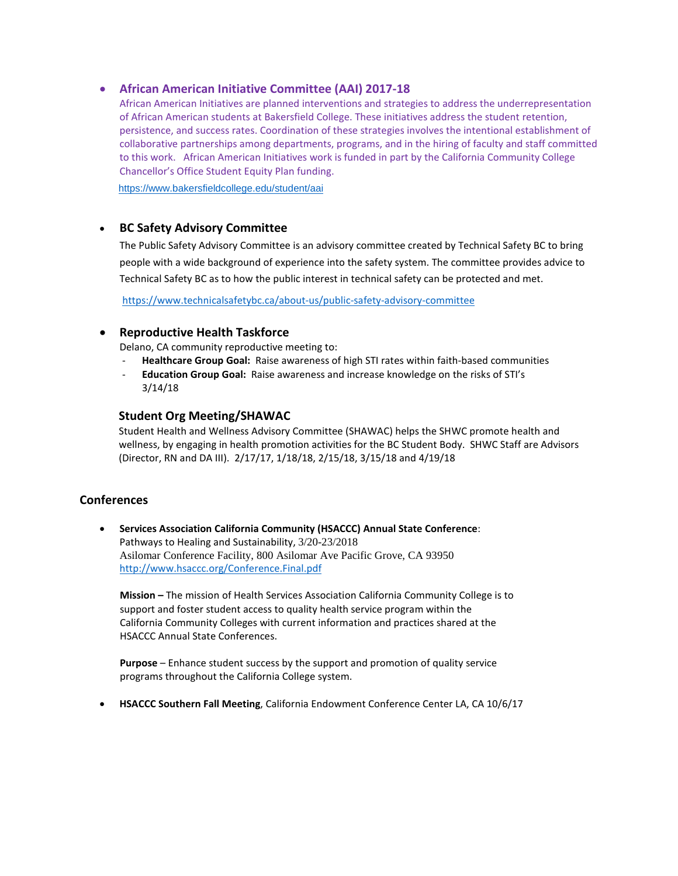### • **African American Initiative Committee (AAI) 2017-18**

African American Initiatives are planned interventions and strategies to address the underrepresentation of African American students at Bakersfield College. These initiatives address the student retention, persistence, and success rates. Coordination of these strategies involves the intentional establishment of collaborative partnerships among departments, programs, and in the hiring of faculty and staff committed to this work. African American Initiatives work is funded in part by the California Community College Chancellor's Office Student Equity Plan funding.

<https://www.bakersfieldcollege.edu/student/aai>

## • **BC Safety Advisory Committee**

The Public Safety Advisory Committee is an advisory committee created by Technical Safety BC to bring people with a wide background of experience into the safety system. The committee provides advice to Technical Safety BC as to how the public interest in technical safety can be protected and met.

<https://www.technicalsafetybc.ca/about-us/public-safety-advisory-committee>

### • **Reproductive Health Taskforce**

Delano, CA community reproductive meeting to:

- **Healthcare Group Goal:** Raise awareness of high STI rates within faith-based communities
- **Education Group Goal:** Raise awareness and increase knowledge on the risks of STI's 3/14/18

### **Student Org Meeting/SHAWAC**

Student Health and Wellness Advisory Committee (SHAWAC) helps the SHWC promote health and wellness, by engaging in health promotion activities for the BC Student Body. SHWC Staff are Advisors (Director, RN and DA III). 2/17/17, 1/18/18, 2/15/18, 3/15/18 and 4/19/18

## **Conferences**

• **Services Association California Community (HSACCC) Annual State Conference**: Pathways to Healing and Sustainability, 3/20-23/2018 Asilomar Conference Facility, 800 Asilomar Ave Pacific Grove, CA 93950 <http://www.hsaccc.org/Conference.Final.pdf>

 **Mission –** The mission of Health Services Association California Community College is to support and foster student access to quality health service program within the California Community Colleges with current information and practices shared at the **HSACCC Annual State Conferences.** 

 **Purpose** – Enhance student success by the support and promotion of quality service programs throughout the California College system.

• **HSACCC Southern Fall Meeting**, California Endowment Conference Center LA, CA 10/6/17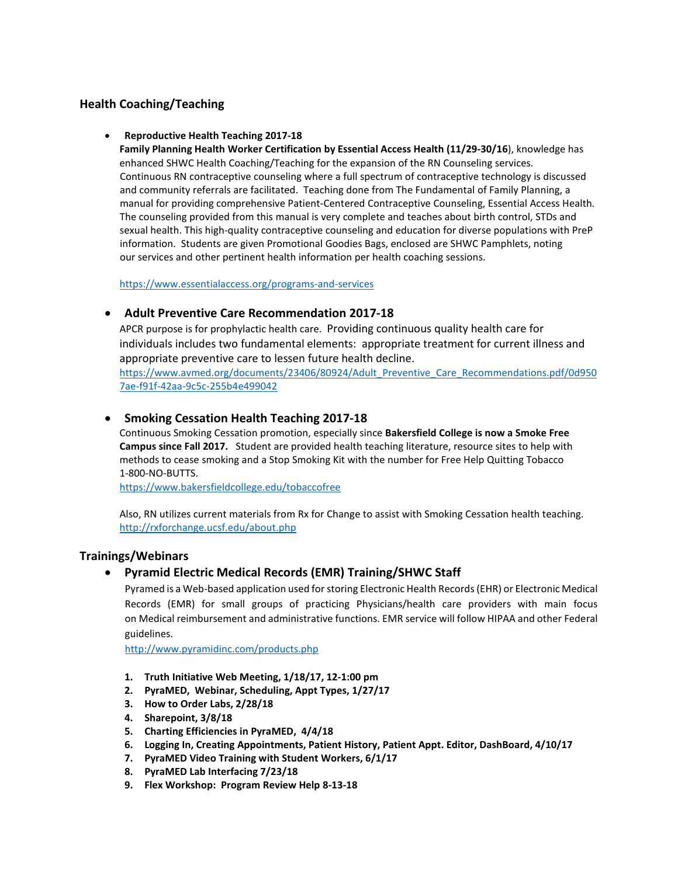# **Health Coaching/Teaching**

#### • **Reproductive Health Teaching 2017-18**

**Family Planning Health Worker Certification by Essential Access Health (11/29-30/16**), knowledge has enhanced SHWC Health Coaching/Teaching for the expansion of the RN Counseling services. Continuous RN contraceptive counseling where a full spectrum of contraceptive technology is discussed and community referrals are facilitated. Teaching done from The Fundamental of Family Planning, a manual for providing comprehensive Patient-Centered Contraceptive Counseling, Essential Access Health*.*  The counseling provided from this manual is very complete and teaches about birth control, STDs and sexual health. This high-quality contraceptive counseling and education for diverse populations with PreP information. Students are given Promotional Goodies Bags, enclosed are SHWC Pamphlets, noting our services and other pertinent health information per health coaching sessions.

<https://www.essentialaccess.org/programs-and-services>

## • **Adult Preventive Care Recommendation 2017-18**

APCR purpose is for prophylactic health care. Providing continuous quality health care for individuals includes two fundamental elements: appropriate treatment for current illness and appropriate preventive care to lessen future health decline.

[https://www.avmed.org/documents/23406/80924/Adult\\_Preventive\\_Care\\_Recommendations.pdf/0d950](https://www.avmed.org/documents/23406/80924/Adult_Preventive_Care_Recommendations.pdf/0d9507ae-f91f-42aa-9c5c-255b4e499042) [7ae-f91f-42aa-9c5c-255b4e499042](https://www.avmed.org/documents/23406/80924/Adult_Preventive_Care_Recommendations.pdf/0d9507ae-f91f-42aa-9c5c-255b4e499042)

## • **Smoking Cessation Health Teaching 2017-18**

Continuous Smoking Cessation promotion, especially since **Bakersfield College is now a Smoke Free Campus since Fall 2017.** Student are provided health teaching literature, resource sites to help with methods to cease smoking and a Stop Smoking Kit with the number for Free Help Quitting Tobacco 1-800-NO-BUTTS.

<https://www.bakersfieldcollege.edu/tobaccofree>

Also, RN utilizes current materials from Rx for Change to assist with Smoking Cessation health teaching. <http://rxforchange.ucsf.edu/about.php>

## **Trainings/Webinars**

## • **Pyramid Electric Medical Records (EMR) Training/SHWC Staff**

 Pyramed is a Web-based application used for storing Electronic Health Records (EHR) or Electronic Medical Records (EMR) for small groups of practicing Physicians/health care providers with main focus on Medical reimbursement and administrative functions. EMR service will follow HIPAA and other Federal guidelines.

<http://www.pyramidinc.com/products.php>

- **1. Truth Initiative Web Meeting, 1/18/17, 12-1:00 pm**
- **2. PyraMED, Webinar, Scheduling, Appt Types, 1/27/17**
- **3. How to Order Labs, 2/28/18**
- **4. Sharepoint, 3/8/18**
- **5. Charting Efficiencies in PyraMED, 4/4/18**
- **6. Logging In, Creating Appointments, Patient History, Patient Appt. Editor, DashBoard, 4/10/17**
- **7. PyraMED Video Training with Student Workers, 6/1/17**
- **8. PyraMED Lab Interfacing 7/23/18**
- **9. Flex Workshop: Program Review Help 8-13-18**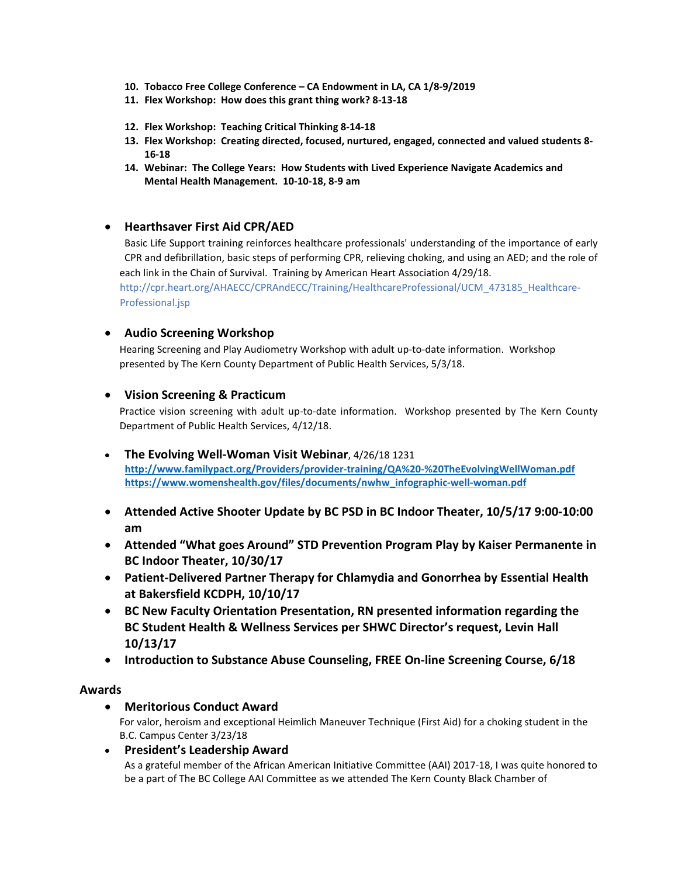- **10. Tobacco Free College Conference – CA Endowment in LA, CA 1/8-9/2019**
- **11. Flex Workshop: How does this grant thing work? 8-13-18**
- **12. Flex Workshop: Teaching Critical Thinking 8-14-18**
- **13. Flex Workshop: Creating directed, focused, nurtured, engaged, connected and valued students 8- 16-18**
- **14. Webinar: The College Years: How Students with Lived Experience Navigate Academics and Mental Health Management. 10-10-18, 8-9 am**

### • **Hearthsaver First Aid CPR/AED**

 Basic Life Support training reinforces healthcare professionals' understanding of the importance of early CPR and defibrillation, basic steps of performing CPR, relieving choking, and using an AED; and the role of each link in the Chain of Survival. Training by American Heart Association 4/29/18. http://cpr.heart.org/AHAECC/CPRAndECC/Training/HealthcareProfessional/UCM\_473185\_Healthcare-Professional.jsp

### • **Audio Screening Workshop**

Hearing Screening and Play Audiometry Workshop with adult up-to-date information. Workshop presented by The Kern County Department of Public Health Services, 5/3/18.

### • **Vision Screening & Practicum**

Practice vision screening with adult up-to-date information. Workshop presented by The Kern County Department of Public Health Services, 4/12/18.

- **The Evolving Well-Woman Visit Webinar**, 4/26/18 1231  **<http://www.familypact.org/Providers/provider-training/QA%20-%20TheEvolvingWellWoman.pdf> [https://www.womenshealth.gov/files/documents/nwhw\\_infographic-well-woman.pdf](https://www.womenshealth.gov/files/documents/nwhw_infographic-well-woman.pdf)**
- **Attended Active Shooter Update by BC PSD in BC Indoor Theater, 10/5/17 9:00-10:00 am**
- **Attended "What goes Around" STD Prevention Program Play by Kaiser Permanente in BC Indoor Theater, 10/30/17**
- **Patient-Delivered Partner Therapy for Chlamydia and Gonorrhea by Essential Health at Bakersfield KCDPH, 10/10/17**
- **BC New Faculty Orientation Presentation, RN presented information regarding the BC Student Health & Wellness Services per SHWC Director's request, Levin Hall 10/13/17**
- **Introduction to Substance Abuse Counseling, FREE On-line Screening Course, 6/18**

#### **Awards**

#### • **Meritorious Conduct Award**

For valor, heroism and exceptional Heimlich Maneuver Technique (First Aid) for a choking student in the B.C. Campus Center 3/23/18

#### • **President's Leadership Award**

As a grateful member of the African American Initiative Committee (AAI) 2017-18, I was quite honored to be a part of The BC College AAI Committee as we attended The Kern County Black Chamber of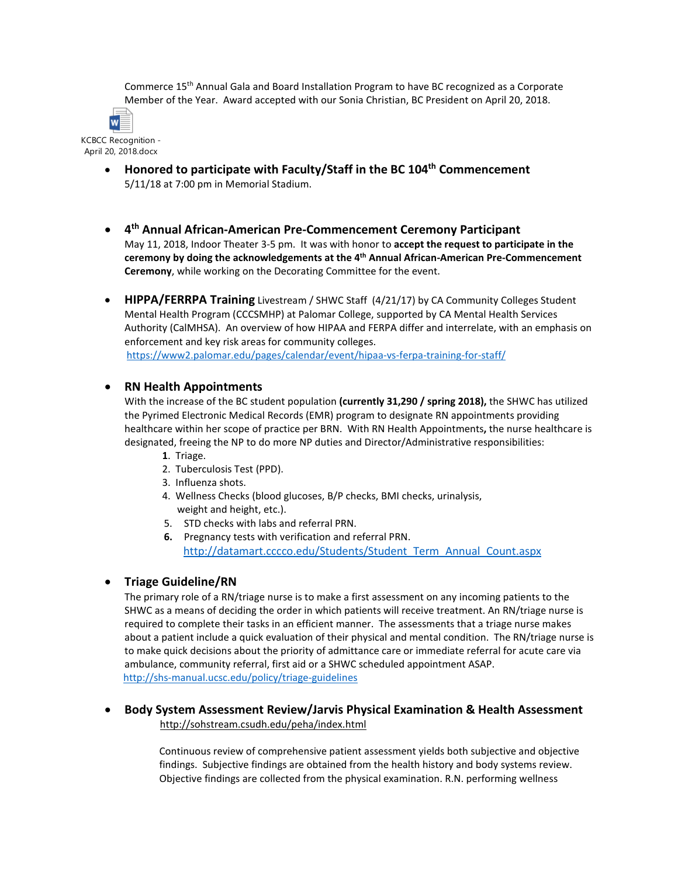Commerce 15th Annual Gala and Board Installation Program to have BC recognized as a Corporate Member of the Year. Award accepted with our Sonia Christian, BC President on April 20, 2018.



KCBCC Recognition - April 20, 2018.docx

- **Honored to participate with Faculty/Staff in the BC 104th Commencement**  5/11/18 at 7:00 pm in Memorial Stadium.
- **4th Annual African-American Pre-Commencement Ceremony Participant** May 11, 2018, Indoor Theater 3-5 pm. It was with honor to **accept the request to participate in the ceremony by doing the acknowledgements at the 4th Annual African-American Pre-Commencement Ceremony**, while working on the Decorating Committee for the event.
- **HIPPA/FERRPA Training** Livestream / SHWC Staff (4/21/17) by CA Community Colleges Student Mental Health Program (CCCSMHP) at Palomar College, supported by CA Mental Health Services Authority (CalMHSA). An overview of how HIPAA and FERPA differ and interrelate, with an emphasis on enforcement and key risk areas for community colleges. <https://www2.palomar.edu/pages/calendar/event/hipaa-vs-ferpa-training-for-staff/>

## • **RN Health Appointments**

With the increase of the BC student population **(currently 31,290 / spring 2018),** the SHWC has utilized the Pyrimed Electronic Medical Records (EMR) program to designate RN appointments providing healthcare within her scope of practice per BRN. With RN Health Appointments**,** the nurse healthcare is designated, freeing the NP to do more NP duties and Director/Administrative responsibilities:

- **1**. Triage.
- 2. Tuberculosis Test (PPD).
- 3. Influenza shots.
- 4. Wellness Checks (blood glucoses, B/P checks, BMI checks, urinalysis, weight and height, etc.).
- 5. STD checks with labs and referral PRN.
- **6.** Pregnancy tests with verification and referral PRN. [http://datamart.cccco.edu/Students/Student\\_Term\\_Annual\\_Count.aspx](http://datamart.cccco.edu/Students/Student_Term_Annual_Count.aspx)

## • **Triage Guideline/RN**

The primary role of a RN/triage nurse is to make a first assessment on any incoming patients to the SHWC as a means of deciding the order in which patients will receive treatment. An RN/triage nurse is required to complete their tasks in an efficient manner. The assessments that a triage nurse makes about a patient include a quick evaluation of their physical and mental condition. The RN/triage nurse is to make quick decisions about the priority of admittance care or immediate referral for acute care via ambulance, community referral, first aid or a SHWC scheduled appointment ASAP. <http://shs-manual.ucsc.edu/policy/triage-guidelines>

### • **Body System Assessment Review/Jarvis Physical Examination & Health Assessment**  <http://sohstream.csudh.edu/peha/index.html>

Continuous review of comprehensive patient assessment yields both subjective and objective findings. Subjective findings are obtained from the health history and body systems review. Objective findings are collected from the physical examination. R.N. performing wellness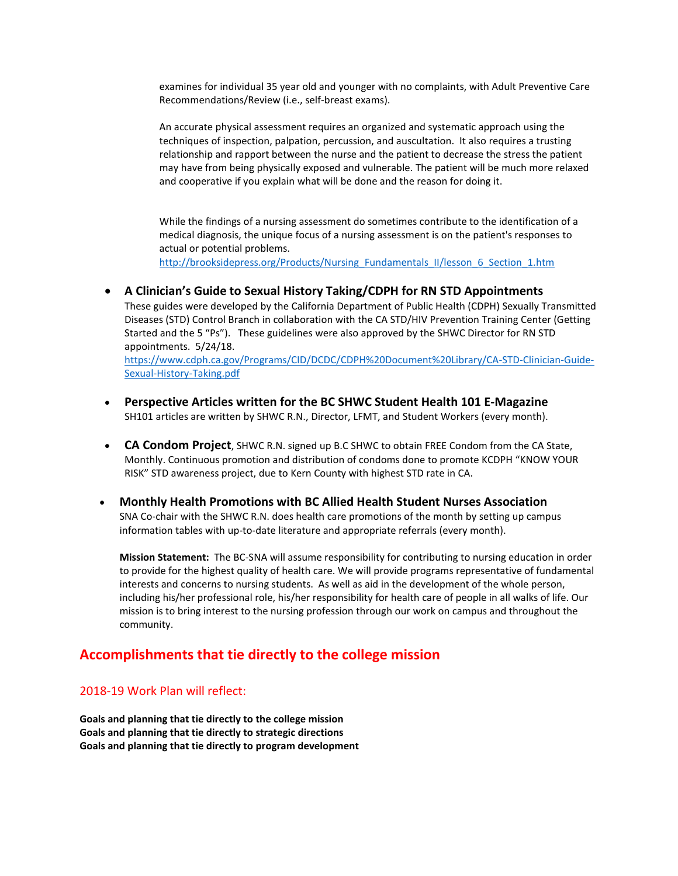examines for individual 35 year old and younger with no complaints, with Adult Preventive Care Recommendations/Review (i.e., self-breast exams).

An accurate physical assessment requires an organized and systematic approach using the techniques of inspection, palpation, percussion, and auscultation. It also requires a trusting relationship and rapport between the nurse and the patient to decrease the stress the patient may have from being physically exposed and vulnerable. The patient will be much more relaxed and cooperative if you explain what will be done and the reason for doing it.

While the findings of a nursing assessment do sometimes contribute to the identification of a medical diagnosis, the unique focus of a nursing assessment is on the patient's responses to actual or potential problems. [http://brooksidepress.org/Products/Nursing\\_Fundamentals\\_II/lesson\\_6\\_Section\\_1.htm](http://brooksidepress.org/Products/Nursing_Fundamentals_II/lesson_6_Section_1.htm)

• **A Clinician's Guide to Sexual History Taking/CDPH for RN STD Appointments** These guides were developed by the California Department of Public Health (CDPH) Sexually Transmitted Diseases (STD) Control Branch in collaboration with the CA STD/HIV Prevention Training Center (Getting Started and the 5 "Ps"). These guidelines were also approved by the SHWC Director for RN STD appointments. 5/24/18.

[https://www.cdph.ca.gov/Programs/CID/DCDC/CDPH%20Document%20Library/CA-STD-Clinician-Guide-](https://www.cdph.ca.gov/Programs/CID/DCDC/CDPH%20Document%20Library/CA-STD-Clinician-Guide-Sexual-History-Taking.pdf)[Sexual-History-Taking.pdf](https://www.cdph.ca.gov/Programs/CID/DCDC/CDPH%20Document%20Library/CA-STD-Clinician-Guide-Sexual-History-Taking.pdf)

- **Perspective Articles written for the BC SHWC Student Health 101 E-Magazine** SH101 articles are written by SHWC R.N., Director, LFMT, and Student Workers (every month).
- **CA Condom Project**, SHWC R.N. signed up B.C SHWC to obtain FREE Condom from the CA State, Monthly. Continuous promotion and distribution of condoms done to promote KCDPH "KNOW YOUR RISK" STD awareness project, due to Kern County with highest STD rate in CA.
- **Monthly Health Promotions with BC Allied Health Student Nurses Association** SNA Co-chair with the SHWC R.N. does health care promotions of the month by setting up campus information tables with up-to-date literature and appropriate referrals (every month).

**Mission Statement:** The BC-SNA will assume responsibility for contributing to nursing education in order to provide for the highest quality of health care. We will provide programs representative of fundamental interests and concerns to nursing students. As well as aid in the development of the whole person, including his/her professional role, his/her responsibility for health care of people in all walks of life. Our mission is to bring interest to the nursing profession through our work on campus and throughout the community.

# **Accomplishments that tie directly to the college mission**

## 2018-19 Work Plan will reflect:

**Goals and planning that tie directly to the college mission Goals and planning that tie directly to strategic directions Goals and planning that tie directly to program development**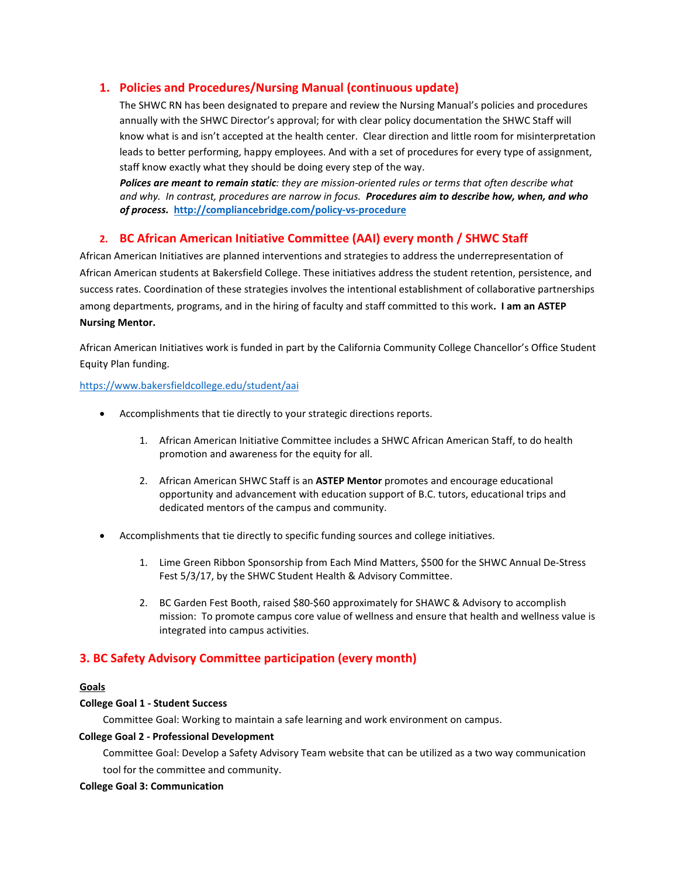## **1. Policies and Procedures/Nursing Manual (continuous update)**

The SHWC RN has been designated to prepare and review the Nursing Manual's policies and procedures annually with the SHWC Director's approval; for with clear policy documentation the SHWC Staff will know what is and isn't accepted at the health center. Clear direction and little room for misinterpretation leads to better performing, happy employees. And with a set of procedures for every type of assignment, staff know exactly what they should be doing every step of the way.

*Polices are meant to remain static: they are mission-oriented rules or terms that often describe what and why. In contrast, procedures are narrow in focus. Procedures aim to describe how, when, and who of process.* **<http://compliancebridge.com/policy-vs-procedure>**

# **2. BC African American Initiative Committee (AAI) every month / SHWC Staff**

African American Initiatives are planned interventions and strategies to address the underrepresentation of African American students at Bakersfield College. These initiatives address the student retention, persistence, and success rates. Coordination of these strategies involves the intentional establishment of collaborative partnerships among departments, programs, and in the hiring of faculty and staff committed to this work**. I am an ASTEP Nursing Mentor.**

African American Initiatives work is funded in part by the California Community College Chancellor's Office Student Equity Plan funding.

#### <https://www.bakersfieldcollege.edu/student/aai>

- Accomplishments that tie directly to your strategic directions reports.
	- 1. African American Initiative Committee includes a SHWC African American Staff, to do health promotion and awareness for the equity for all.
	- 2. African American SHWC Staff is an **ASTEP Mentor** promotes and encourage educational opportunity and advancement with education support of B.C. tutors, educational trips and dedicated mentors of the campus and community.
- Accomplishments that tie directly to specific funding sources and college initiatives.
	- 1. Lime Green Ribbon Sponsorship from Each Mind Matters, \$500 for the SHWC Annual De-Stress Fest 5/3/17, by the SHWC Student Health & Advisory Committee.
	- 2. BC Garden Fest Booth, raised \$80-\$60 approximately for SHAWC & Advisory to accomplish mission: To promote campus core value of wellness and ensure that health and wellness value is integrated into campus activities.

## **3. BC Safety Advisory Committee participation (every month)**

#### **Goals**

#### **College Goal 1 - Student Success**

Committee Goal: Working to maintain a safe learning and work environment on campus.

#### **College Goal 2 - Professional Development**

Committee Goal: Develop a Safety Advisory Team website that can be utilized as a two way communication tool for the committee and community.

#### **College Goal 3: Communication**